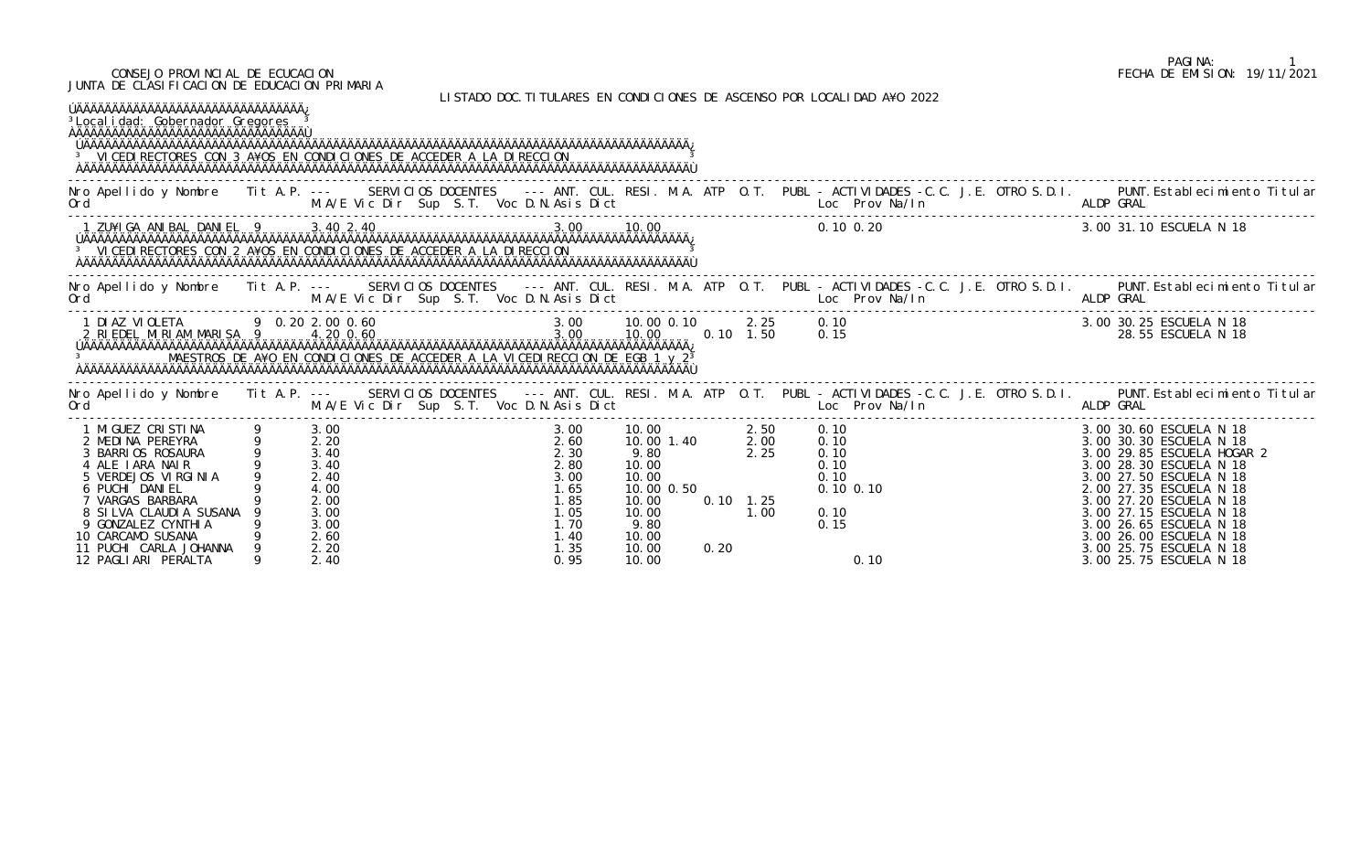| CONSEJO PROVINCIAL DE ECUCACION<br>JUNTA DE CLASIFICACION DE EDUCACION PRIMARIA                                                                                                                                                                                                                     |        |                                                                              |  |  |                                                                                       |                                                                                                                       |      |                             |                                  |                                                       |                                                                                                                         |  | FECHA DE EMISION: 19/11/2021                                                                                                                                                                                                                                                                                                        |  |
|-----------------------------------------------------------------------------------------------------------------------------------------------------------------------------------------------------------------------------------------------------------------------------------------------------|--------|------------------------------------------------------------------------------|--|--|---------------------------------------------------------------------------------------|-----------------------------------------------------------------------------------------------------------------------|------|-----------------------------|----------------------------------|-------------------------------------------------------|-------------------------------------------------------------------------------------------------------------------------|--|-------------------------------------------------------------------------------------------------------------------------------------------------------------------------------------------------------------------------------------------------------------------------------------------------------------------------------------|--|
| <sup>3</sup> Local i dad: Gobernador Gregores<br>ِ بِمُهْتَمَهُمْهُمُهُمْهُمُهُمْهُمُهُمْهُمُهُمْهُمُهُمْهُمُهُمْهُمُهُمْهُمُهُمْهُمُهُمْهُمُهُمْهُمُهُمْهُمَهُم<br><sup>3</sup> VICEDI RECTORES CON 3 A¥OS EN CONDICIONES DE ACCEDER A LA DI RECCION                                               |        |                                                                              |  |  |                                                                                       |                                                                                                                       |      |                             |                                  |                                                       | LISTADO DOC. TITULARES EN CONDICIONES DE ASCENSO POR LOCALIDAD A¥O 2022                                                 |  |                                                                                                                                                                                                                                                                                                                                     |  |
| Nro Apellido y Nombre Tit A.P. --- SERVICIOS DOCENTES --- ANT. CUL. RESI. M.A. ATP O.T. PUBL - ACTIVIDADES -C.C. J.E. OTRO S.D.I. PUNT.Establecimiento Titular<br>Ord M.A/E Vic Dir Sup S.T. Voc D.N.Asis Dict Loc Prov Na/In ALD                                                                   |        |                                                                              |  |  |                                                                                       |                                                                                                                       |      |                             |                                  |                                                       |                                                                                                                         |  |                                                                                                                                                                                                                                                                                                                                     |  |
|                                                                                                                                                                                                                                                                                                     |        |                                                                              |  |  |                                                                                       |                                                                                                                       |      |                             |                                  |                                                       |                                                                                                                         |  | 3.00 31.10 ESCUELA N 18                                                                                                                                                                                                                                                                                                             |  |
| Nro Apellido y Nombre Iit A.P. --- SERVICIOS DOCENTES --- ANT. CUL. RESI. M.A. ATP O.T. PUBL -ACTIVIDADES -C.C. J.E. OTRO S.D.I. PUNT.Establecimiento Titular M.A/E Vic Dir Sup S.T. Voc D.N.Asis Dict Loc Prov Na/In Allop GR                                                                      |        |                                                                              |  |  |                                                                                       |                                                                                                                       |      |                             |                                  |                                                       |                                                                                                                         |  |                                                                                                                                                                                                                                                                                                                                     |  |
|                                                                                                                                                                                                                                                                                                     |        |                                                                              |  |  |                                                                                       |                                                                                                                       |      |                             |                                  |                                                       | $3.00$ $10.00$ 0.10 $2.25$ 0.10<br>$3.00$ $10.00$ 0.10 $2.25$ 0.10<br>$3.00$ $10.00$ $10.00$ 1.50 0.15                  |  | 3.00 30.25 ESCUELA N 18<br>28.55 ESCUELA N 18                                                                                                                                                                                                                                                                                       |  |
| Nro Apellido y Nombre Tit A.P. --- SERVICIOS DOCENTES --- ANT. CUL. RESI. M.A. ATP O.T. PUBL - ACTIVIDADES -C.C. J.E. OTRO S.D.I. PUNT. Establecimiento Titular<br>Ord                                                                                                                              |        |                                                                              |  |  |                                                                                       |                                                                                                                       |      |                             |                                  |                                                       | M.A/E Vic Dir Sup S.T. Voc D.N.Asis Dict                                    Loc Prov Na/In                    ALDP GRAL |  |                                                                                                                                                                                                                                                                                                                                     |  |
| 1 MIGUEZ CRISTINA 9 3.00<br>2 MEDINA PEREYRA 9 2.20<br>2 MEDINA PEREYRA<br>3 BARRIOS ROSAURA<br>4 ALE IARA NAIR<br>5 VERDEJOS VIRGINIA<br>6 PUCHI DANIEL<br>7 VARGAS BARBARA<br>8 SILVA CLAUDIA SUSANA<br>9 GONZALEZ CYNTHI A<br>10 CARCAMO SUSANA<br>11 PUCHI CARLA JOHANNA<br>12 PAGLIARI PERALTA | 9 2.20 | 3.40<br>3.40<br>2.40<br>4.00<br>2.00<br>3.00<br>3.00<br>2.60<br>2.20<br>2.40 |  |  | 2.60<br>2.30<br>2.80<br>3.00<br>1.65<br>1.85<br>1. 05<br>1.70<br>1.40<br>1.35<br>0.95 | 3.00 10.00<br>10.00 1.40<br>9.80<br>10.00<br>10.00<br>10.00 0.50<br>10.00<br>10.00<br>9.80<br>10.00<br>10.00<br>10.00 | 0.20 | 2.25<br>$0.10$ 1.25<br>1.00 | 1.40 2.50 0.10<br>1.40 2.00 0.10 | 0.10<br>0.10<br>0.10<br>$0.10$ $0.10$<br>0.10<br>0.15 | 0.10                                                                                                                    |  | 3.00 30.60 ESCUELA N 18<br>3.00 30.30 ESCUELA N 18<br>3.00 29.85 ESCUELA HOGAR 2<br>3.00 28.30 ESCUELA N 18<br>3.00 27.50 ESCUELA N 18<br>2.00 27.35 ESCUELA N 18<br>3.00 27.20 ESCUELA N 18<br>3.00 27.15 ESCUELA N 18<br>3.00 26.65 ESCUELA N 18<br>3.00 26.00 ESCUELA N 18<br>3.00 25.75 ESCUELA N 18<br>3.00 25.75 ESCUELA N 18 |  |

## PAGINA: 1<br>FECHA DE EMISION: 19/11/2021